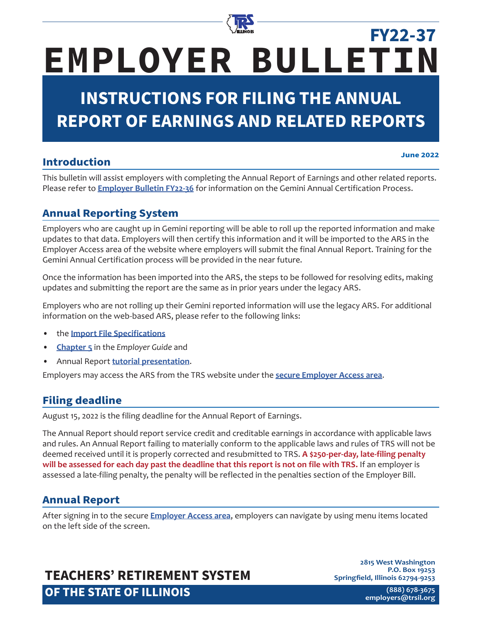

# **EMPLOYER BULLETIN FY22-37**

# **INSTRUCTIONS FOR FILING THE ANNUAL REPORT OF EARNINGS AND RELATED REPORTS**

# **Introduction**

**June 2022**

This bulletin will assist employers with completing the Annual Report of Earnings and other related reports. Please refer to **[Employer Bulletin FY22-36](https://www.trsil.org/employers/employer-bulletins/FY22-36)** for information on the Gemini Annual Certification Process.

# **Annual Reporting System**

Employers who are caught up in Gemini reporting will be able to roll up the reported information and make updates to that data. Employers will then certify this information and it will be imported to the ARS in the Employer Access area of the website where employers will submit the final Annual Report. Training for the Gemini Annual Certification process will be provided in the near future.

Once the information has been imported into the ARS, the steps to be followed for resolving edits, making updates and submitting the report are the same as in prior years under the legacy ARS.

Employers who are not rolling up their Gemini reported information will use the legacy ARS. For additional information on the web-based ARS, please refer to the following links:

- the **[Import File Specifications](https://www.trsil.org/employers/annual-report/import-file-specifications)**
- **[Chapter 5](https://www.trsil.org/employers/chapterFive)** in the *Employer Guide* and
- Annual Report **[tutorial presentation](https://www.trsil.org/employers/annual-report/tutorial)**.

Employers may access the ARS from the TRS website under the **[secure Employer Access area](https://employer.trsil.org/subsections/employeraccess/security/signIn.aspx)**.

# **Filing deadline**

August 15, 2022 is the filing deadline for the Annual Report of Earnings.

The Annual Report should report service credit and creditable earnings in accordance with applicable laws and rules. An Annual Report failing to materially conform to the applicable laws and rules of TRS will not be deemed received until it is properly corrected and resubmitted to TRS. **A \$250-per-day, late-filing penalty will be assessed for each day past the deadline that this report is not on file with TRS.** If an employer is assessed a late-filing penalty, the penalty will be reflected in the penalties section of the Employer Bill.

# **Annual Report**

After signing in to the secure **[Employer Access area](https://employer.trsil.org/subsections/employeraccess/security/signIn.aspx)**, employers can navigate by using menu items located on the left side of the screen.

# **TEACHERS' RETIREMENT SYSTEM OF THE STATE OF ILLINOIS**

**2815 West Washington P.O. Box 19253 Springfield, Illinois 62794-9253**

> **(888) 678-3675 [employers@trsi](mailto:employers%40trsil.org?subject=)l.org**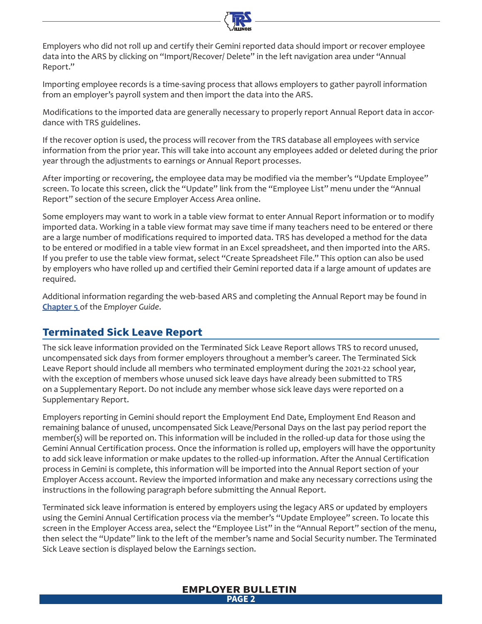Employers who did not roll up and certify their Gemini reported data should import or recover employee data into the ARS by clicking on "Import/Recover/ Delete" in the left navigation area under "Annual Report."

Importing employee records is a time-saving process that allows employers to gather payroll information from an employer's payroll system and then import the data into the ARS.

Modifications to the imported data are generally necessary to properly report Annual Report data in accordance with TRS guidelines.

If the recover option is used, the process will recover from the TRS database all employees with service information from the prior year. This will take into account any employees added or deleted during the prior year through the adjustments to earnings or Annual Report processes.

After importing or recovering, the employee data may be modified via the member's "Update Employee" screen. To locate this screen, click the "Update" link from the "Employee List" menu under the "Annual Report" section of the secure Employer Access Area online.

Some employers may want to work in a table view format to enter Annual Report information or to modify imported data. Working in a table view format may save time if many teachers need to be entered or there are a large number of modifications required to imported data. TRS has developed a method for the data to be entered or modified in a table view format in an Excel spreadsheet, and then imported into the ARS. If you prefer to use the table view format, select "Create Spreadsheet File." This option can also be used by employers who have rolled up and certified their Gemini reported data if a large amount of updates are required.

Additional information regarding the web-based ARS and completing the Annual Report may be found in **Chapter 5** of the *[Employer Guide](https://www.trsil.org/employers/chapterFive)*.

### **Terminated Sick Leave Report**

The sick leave information provided on the Terminated Sick Leave Report allows TRS to record unused, uncompensated sick days from former employers throughout a member's career. The Terminated Sick Leave Report should include all members who terminated employment during the 2021-22 school year, with the exception of members whose unused sick leave days have already been submitted to TRS on a Supplementary Report. Do not include any member whose sick leave days were reported on a Supplementary Report.

Employers reporting in Gemini should report the Employment End Date, Employment End Reason and remaining balance of unused, uncompensated Sick Leave/Personal Days on the last pay period report the member(s) will be reported on. This information will be included in the rolled-up data for those using the Gemini Annual Certification process. Once the information is rolled up, employers will have the opportunity to add sick leave information or make updates to the rolled-up information. After the Annual Certification process in Gemini is complete, this information will be imported into the Annual Report section of your Employer Access account. Review the imported information and make any necessary corrections using the instructions in the following paragraph before submitting the Annual Report.

Terminated sick leave information is entered by employers using the legacy ARS or updated by employers using the Gemini Annual Certification process via the member's "Update Employee" screen. To locate this screen in the Employer Access area, select the "Employee List" in the "Annual Report" section of the menu, then select the "Update" link to the left of the member's name and Social Security number. The Terminated Sick Leave section is displayed below the Earnings section.

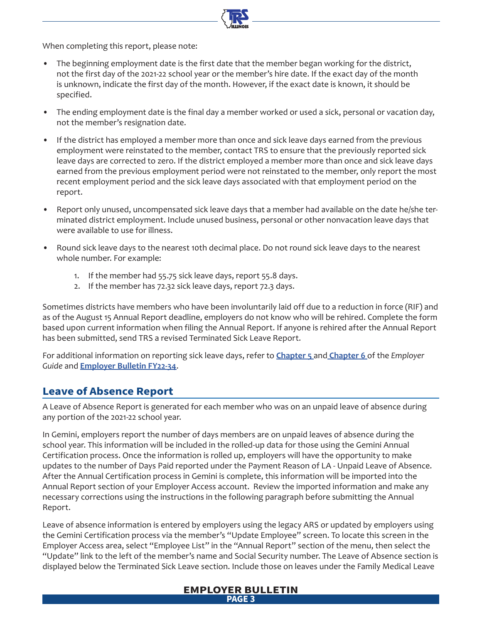When completing this report, please note:

- The beginning employment date is the first date that the member began working for the district, not the first day of the 2021-22 school year or the member's hire date. If the exact day of the month is unknown, indicate the first day of the month. However, if the exact date is known, it should be specified.
- The ending employment date is the final day a member worked or used a sick, personal or vacation day, not the member's resignation date.
- If the district has employed a member more than once and sick leave days earned from the previous employment were reinstated to the member, contact TRS to ensure that the previously reported sick leave days are corrected to zero. If the district employed a member more than once and sick leave days earned from the previous employment period were not reinstated to the member, only report the most recent employment period and the sick leave days associated with that employment period on the report.
- Report only unused, uncompensated sick leave days that a member had available on the date he/she terminated district employment. Include unused business, personal or other nonvacation leave days that were available to use for illness.
- Round sick leave days to the nearest 10th decimal place. Do not round sick leave days to the nearest whole number. For example:
	- 1. If the member had 55.75 sick leave days, report 55.8 days.
	- 2. If the member has 72.32 sick leave days, report 72.3 days.

Sometimes districts have members who have been involuntarily laid off due to a reduction in force (RIF) and as of the August 15 Annual Report deadline, employers do not know who will be rehired. Complete the form based upon current information when filing the Annual Report. If anyone is rehired after the Annual Report has been submitted, send TRS a revised Terminated Sick Leave Report.

For additional information on reporting sick leave days, refer to **[Chapter 5](https://www.trsil.org/employers/chapterFive)** and **[Chapter 6](https://www.trsil.org/employers/chapterSix)** of the *Employer Guide* and **[Employer Bulletin FY2](https://www.trsil.org/employers/employer-bulletins/FY22-34)2-34**.

### **Leave of Absence Report**

A Leave of Absence Report is generated for each member who was on an unpaid leave of absence during any portion of the 2021-22 school year.

In Gemini, employers report the number of days members are on unpaid leaves of absence during the school year. This information will be included in the rolled-up data for those using the Gemini Annual Certification process. Once the information is rolled up, employers will have the opportunity to make updates to the number of Days Paid reported under the Payment Reason of LA - Unpaid Leave of Absence. After the Annual Certification process in Gemini is complete, this information will be imported into the Annual Report section of your Employer Access account. Review the imported information and make any necessary corrections using the instructions in the following paragraph before submitting the Annual Report.

Leave of absence information is entered by employers using the legacy ARS or updated by employers using the Gemini Certification process via the member's "Update Employee" screen. To locate this screen in the Employer Access area, select "Employee List" in the "Annual Report" section of the menu, then select the "Update" link to the left of the member's name and Social Security number. The Leave of Absence section is displayed below the Terminated Sick Leave section. Include those on leaves under the Family Medical Leave

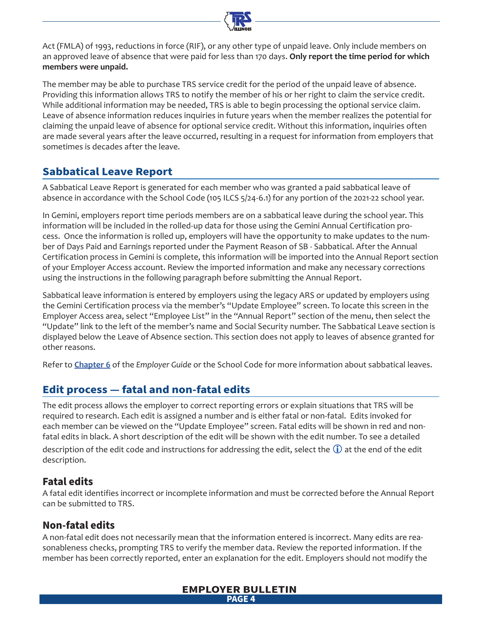

Act (FMLA) of 1993, reductions in force (RIF), or any other type of unpaid leave. Only include members on an approved leave of absence that were paid for less than 170 days. **Only report the time period for which members were unpaid.**

The member may be able to purchase TRS service credit for the period of the unpaid leave of absence. Providing this information allows TRS to notify the member of his or her right to claim the service credit. While additional information may be needed, TRS is able to begin processing the optional service claim. Leave of absence information reduces inquiries in future years when the member realizes the potential for claiming the unpaid leave of absence for optional service credit. Without this information, inquiries often are made several years after the leave occurred, resulting in a request for information from employers that sometimes is decades after the leave.

# **Sabbatical Leave Report**

A Sabbatical Leave Report is generated for each member who was granted a paid sabbatical leave of absence in accordance with the School Code (105 ILCS 5/24-6.1) for any portion of the 2021-22 school year.

In Gemini, employers report time periods members are on a sabbatical leave during the school year. This information will be included in the rolled-up data for those using the Gemini Annual Certification process. Once the information is rolled up, employers will have the opportunity to make updates to the number of Days Paid and Earnings reported under the Payment Reason of SB - Sabbatical. After the Annual Certification process in Gemini is complete, this information will be imported into the Annual Report section of your Employer Access account. Review the imported information and make any necessary corrections using the instructions in the following paragraph before submitting the Annual Report.

Sabbatical leave information is entered by employers using the legacy ARS or updated by employers using the Gemini Certification process via the member's "Update Employee" screen. To locate this screen in the Employer Access area, select "Employee List" in the "Annual Report" section of the menu, then select the "Update" link to the left of the member's name and Social Security number. The Sabbatical Leave section is displayed below the Leave of Absence section. This section does not apply to leaves of absence granted for other reasons.

Refer to **[Chapter 6](https://www.trsil.org/employers/chapterSix)** of the *Employer Guide* or the School Code for more information about sabbatical leaves.

# **Edit process — fatal and non-fatal edits**

The edit process allows the employer to correct reporting errors or explain situations that TRS will be required to research. Each edit is assigned a number and is either fatal or non-fatal. Edits invoked for each member can be viewed on the "Update Employee" screen. Fatal edits will be shown in red and nonfatal edits in black. A short description of the edit will be shown with the edit number. To see a detailed

description of the edit code and instructions for addressing the edit, select the  $\ddot{\mathbf{u}}$  at the end of the edit description.

# **Fatal edits**

A fatal edit identifies incorrect or incomplete information and must be corrected before the Annual Report can be submitted to TRS.

# **Non-fatal edits**

A non-fatal edit does not necessarily mean that the information entered is incorrect. Many edits are reasonableness checks, prompting TRS to verify the member data. Review the reported information. If the member has been correctly reported, enter an explanation for the edit. Employers should not modify the

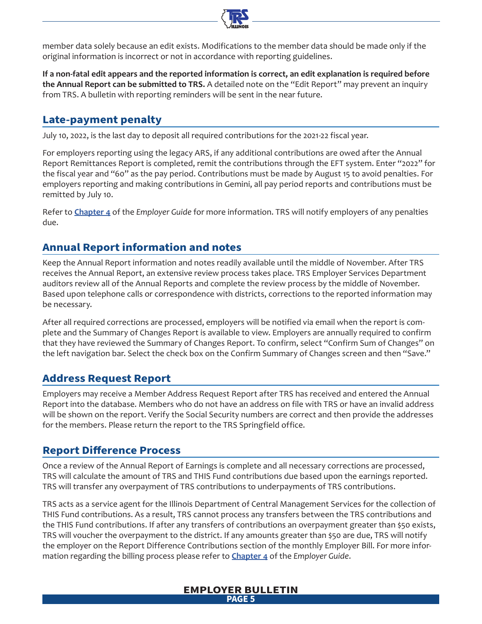

member data solely because an edit exists. Modifications to the member data should be made only if the original information is incorrect or not in accordance with reporting guidelines.

**If a non-fatal edit appears and the reported information is correct, an edit explanation is required before the Annual Report can be submitted to TRS.** A detailed note on the "Edit Report" may prevent an inquiry from TRS. A bulletin with reporting reminders will be sent in the near future.

# **Late-payment penalty**

July 10, 2022, is the last day to deposit all required contributions for the 2021-22 fiscal year.

For employers reporting using the legacy ARS, if any additional contributions are owed after the Annual Report Remittances Report is completed, remit the contributions through the EFT system. Enter "2022" for the fiscal year and "60" as the pay period. Contributions must be made by August 15 to avoid penalties. For employers reporting and making contributions in Gemini, all pay period reports and contributions must be remitted by July 10.

Refer to **[Chapter 4](https://www.trsil.org/employers/chapterFour)** of the *Employer Guide* for more information. TRS will notify employers of any penalties due.

# **Annual Report information and notes**

Keep the Annual Report information and notes readily available until the middle of November. After TRS receives the Annual Report, an extensive review process takes place. TRS Employer Services Department auditors review all of the Annual Reports and complete the review process by the middle of November. Based upon telephone calls or correspondence with districts, corrections to the reported information may be necessary.

After all required corrections are processed, employers will be notified via email when the report is complete and the Summary of Changes Report is available to view. Employers are annually required to confirm that they have reviewed the Summary of Changes Report. To confirm, select "Confirm Sum of Changes" on the left navigation bar. Select the check box on the Confirm Summary of Changes screen and then "Save."

# **Address Request Report**

Employers may receive a Member Address Request Report after TRS has received and entered the Annual Report into the database. Members who do not have an address on file with TRS or have an invalid address will be shown on the report. Verify the Social Security numbers are correct and then provide the addresses for the members. Please return the report to the TRS Springfield office.

# **Report Difference Process**

Once a review of the Annual Report of Earnings is complete and all necessary corrections are processed, TRS will calculate the amount of TRS and THIS Fund contributions due based upon the earnings reported. TRS will transfer any overpayment of TRS contributions to underpayments of TRS contributions.

TRS acts as a service agent for the Illinois Department of Central Management Services for the collection of THIS Fund contributions. As a result, TRS cannot process any transfers between the TRS contributions and the THIS Fund contributions. If after any transfers of contributions an overpayment greater than \$50 exists, TRS will voucher the overpayment to the district. If any amounts greater than \$50 are due, TRS will notify the employer on the Report Difference Contributions section of the monthly Employer Bill. For more information regarding the billing process please refer to **[Chapter 4](https://www.trsil.org/employers/chapterFour)** of the *Employer Guide*.